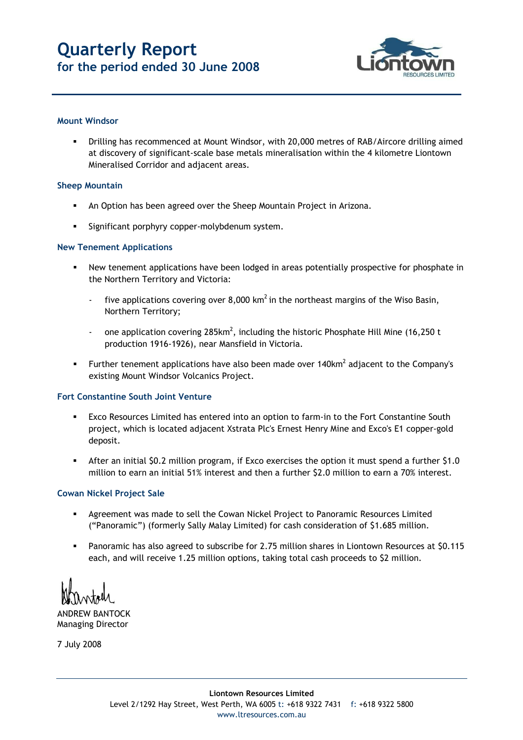# **Quarterly Report for the period ended 30 June 2008**



#### **Mount Windsor**

 Drilling has recommenced at Mount Windsor, with 20,000 metres of RAB/Aircore drilling aimed at discovery of significant-scale base metals mineralisation within the 4 kilometre Liontown Mineralised Corridor and adjacent areas.

#### **Sheep Mountain**

- An Option has been agreed over the Sheep Mountain Project in Arizona.
- Significant porphyry copper-molybdenum system.

#### **New Tenement Applications**

- New tenement applications have been lodged in areas potentially prospective for phosphate in the Northern Territory and Victoria:
	- five applications covering over 8,000 km<sup>2</sup> in the northeast margins of the Wiso Basin, Northern Territory;
	- one application covering  $285$ km<sup>2</sup>, including the historic Phosphate Hill Mine (16,250 t production 1916-1926), near Mansfield in Victoria.
- Further tenement applications have also been made over  $140 \text{km}^2$  adjacent to the Company's existing Mount Windsor Volcanics Project.

### **Fort Constantine South Joint Venture**

- Exco Resources Limited has entered into an option to farm-in to the Fort Constantine South project, which is located adjacent Xstrata Plc's Ernest Henry Mine and Exco's E1 copper-gold deposit.
- After an initial \$0.2 million program, if Exco exercises the option it must spend a further \$1.0 million to earn an initial 51% interest and then a further \$2.0 million to earn a 70% interest.

#### **Cowan Nickel Project Sale**

- Agreement was made to sell the Cowan Nickel Project to Panoramic Resources Limited ("Panoramic") (formerly Sally Malay Limited) for cash consideration of \$1.685 million.
- Panoramic has also agreed to subscribe for 2.75 million shares in Liontown Resources at \$0.115 each, and will receive 1.25 million options, taking total cash proceeds to \$2 million.

ANDREW BANTOCK Managing Director

7 July 2008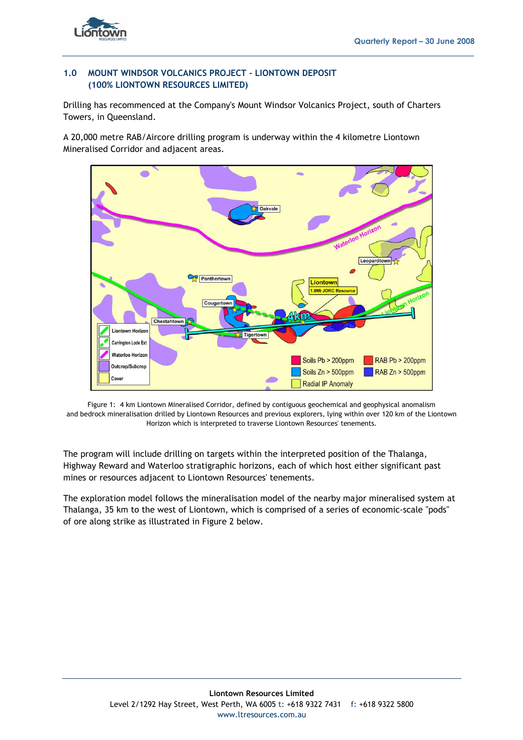

# **1.0 MOUNT WINDSOR VOLCANICS PROJECT - LIONTOWN DEPOSIT (100% LIONTOWN RESOURCES LIMITED)**

Drilling has recommenced at the Company's Mount Windsor Volcanics Project, south of Charters Towers, in Queensland.

A 20,000 metre RAB/Aircore drilling program is underway within the 4 kilometre Liontown Mineralised Corridor and adjacent areas.





The program will include drilling on targets within the interpreted position of the Thalanga, Highway Reward and Waterloo stratigraphic horizons, each of which host either significant past mines or resources adjacent to Liontown Resources' tenements.

The exploration model follows the mineralisation model of the nearby major mineralised system at Thalanga, 35 km to the west of Liontown, which is comprised of a series of economic-scale "pods" of ore along strike as illustrated in Figure 2 below.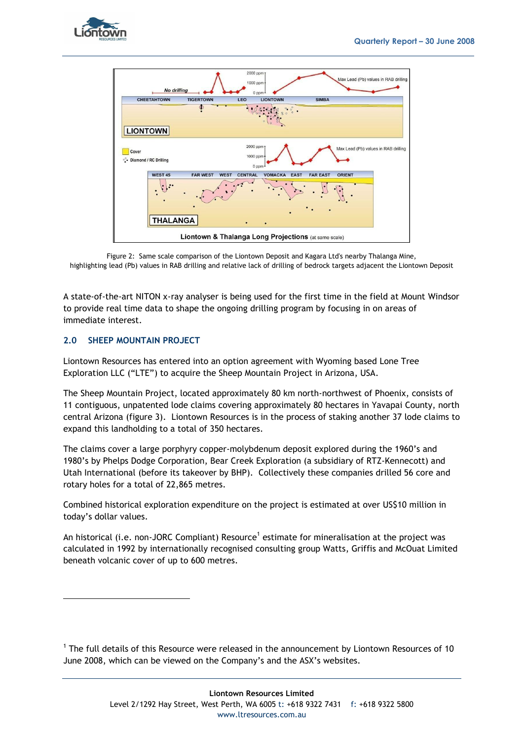



Figure 2: Same scale comparison of the Liontown Deposit and Kagara Ltd's nearby Thalanga Mine, highlighting lead (Pb) values in RAB drilling and relative lack of drilling of bedrock targets adjacent the Liontown Deposit

A state-of-the-art NITON x-ray analyser is being used for the first time in the field at Mount Windsor to provide real time data to shape the ongoing drilling program by focusing in on areas of immediate interest.

# **2.0 SHEEP MOUNTAIN PROJECT**

Liontown Resources has entered into an option agreement with Wyoming based Lone Tree Exploration LLC ("LTE") to acquire the Sheep Mountain Project in Arizona, USA.

The Sheep Mountain Project, located approximately 80 km north-northwest of Phoenix, consists of 11 contiguous, unpatented lode claims covering approximately 80 hectares in Yavapai County, north central Arizona (figure 3). Liontown Resources is in the process of staking another 37 lode claims to expand this landholding to a total of 350 hectares.

The claims cover a large porphyry copper-molybdenum deposit explored during the 1960's and 1980's by Phelps Dodge Corporation, Bear Creek Exploration (a subsidiary of RTZ-Kennecott) and Utah International (before its takeover by BHP). Collectively these companies drilled 56 core and rotary holes for a total of 22,865 metres.

Combined historical exploration expenditure on the project is estimated at over US\$10 million in today's dollar values.

An historical (i.e. non-JORC Compliant) Resource<sup>1</sup> estimate for mineralisation at the project was calculated in 1992 by internationally recognised consulting group Watts, Griffis and McOuat Limited beneath volcanic cover of up to 600 metres.

 $1$  The full details of this Resource were released in the announcement by Liontown Resources of 10 June 2008, which can be viewed on the Company's and the ASX's websites.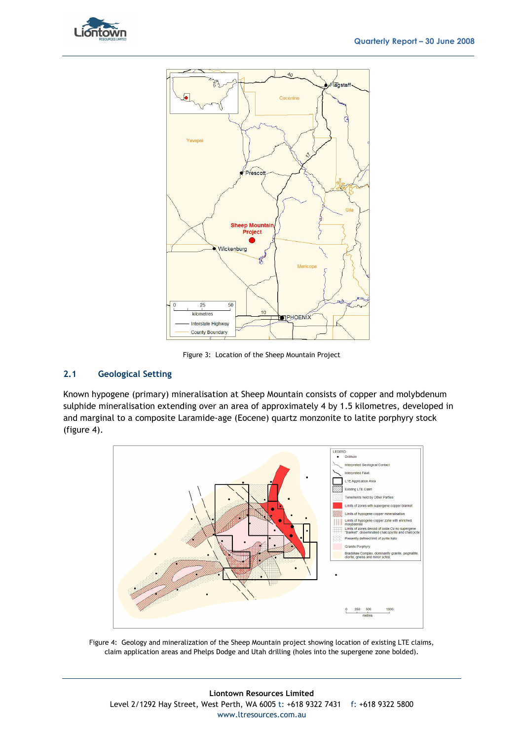



Figure 3: Location of the Sheep Mountain Project

### **2.1 Geological Setting**

Known hypogene (primary) mineralisation at Sheep Mountain consists of copper and molybdenum sulphide mineralisation extending over an area of approximately 4 by 1.5 kilometres, developed in and marginal to a composite Laramide-age (Eocene) quartz monzonite to latite porphyry stock (figure 4).



Figure 4: Geology and mineralization of the Sheep Mountain project showing location of existing LTE claims, claim application areas and Phelps Dodge and Utah drilling (holes into the supergene zone bolded).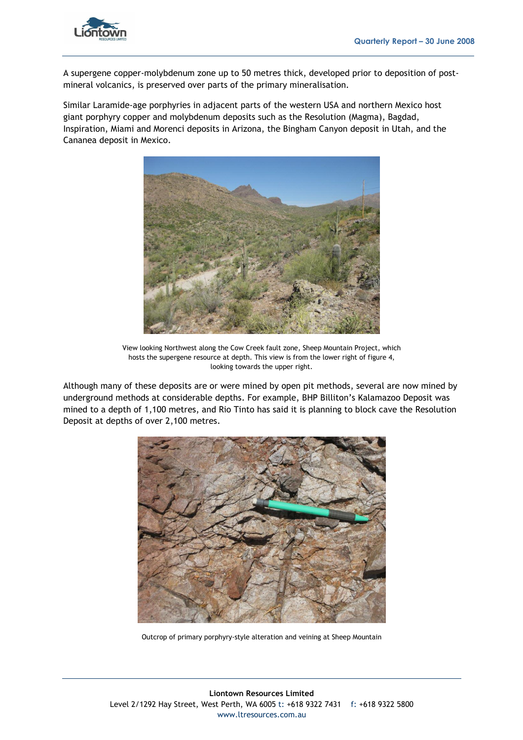

A supergene copper-molybdenum zone up to 50 metres thick, developed prior to deposition of postmineral volcanics, is preserved over parts of the primary mineralisation.

Similar Laramide-age porphyries in adjacent parts of the western USA and northern Mexico host giant porphyry copper and molybdenum deposits such as the Resolution (Magma), Bagdad, Inspiration, Miami and Morenci deposits in Arizona, the Bingham Canyon deposit in Utah, and the Cananea deposit in Mexico.



View looking Northwest along the Cow Creek fault zone, Sheep Mountain Project, which hosts the supergene resource at depth. This view is from the lower right of figure 4, looking towards the upper right.

Although many of these deposits are or were mined by open pit methods, several are now mined by underground methods at considerable depths. For example, BHP Billiton's Kalamazoo Deposit was mined to a depth of 1,100 metres, and Rio Tinto has said it is planning to block cave the Resolution Deposit at depths of over 2,100 metres.



Outcrop of primary porphyry-style alteration and veining at Sheep Mountain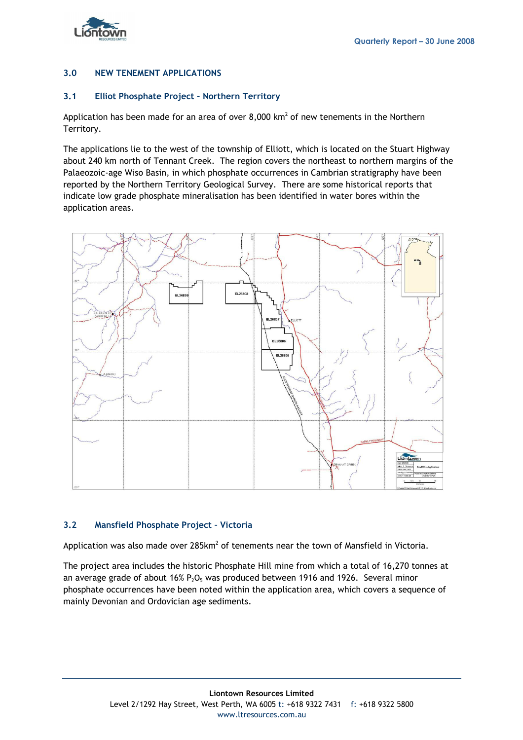



# **3.0 NEW TENEMENT APPLICATIONS**

# **3.1 Elliot Phosphate Project – Northern Territory**

Application has been made for an area of over  $8,000 \text{ km}^2$  of new tenements in the Northern Territory.

The applications lie to the west of the township of Elliott, which is located on the Stuart Highway about 240 km north of Tennant Creek. The region covers the northeast to northern margins of the Palaeozoic-age Wiso Basin, in which phosphate occurrences in Cambrian stratigraphy have been reported by the Northern Territory Geological Survey. There are some historical reports that indicate low grade phosphate mineralisation has been identified in water bores within the application areas.



### **3.2 Mansfield Phosphate Project – Victoria**

Application was also made over  $285 \text{km}^2$  of tenements near the town of Mansfield in Victoria.

The project area includes the historic Phosphate Hill mine from which a total of 16,270 tonnes at an average grade of about  $16\%$  P<sub>2</sub>O<sub>5</sub> was produced between 1916 and 1926. Several minor phosphate occurrences have been noted within the application area, which covers a sequence of mainly Devonian and Ordovician age sediments.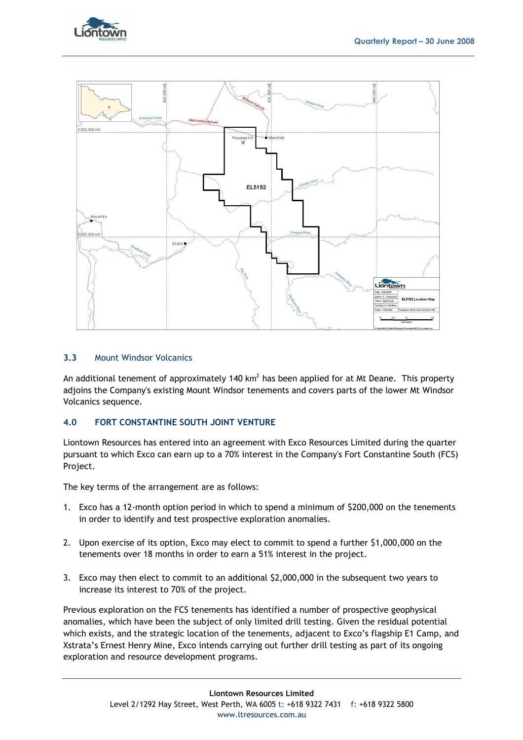



#### **3.3** Mount Windsor Volcanics

An additional tenement of approximately 140 km<sup>2</sup> has been applied for at Mt Deane. This property adjoins the Company's existing Mount Windsor tenements and covers parts of the lower Mt Windsor Volcanics sequence.

### **4.0 FORT CONSTANTINE SOUTH JOINT VENTURE**

Liontown Resources has entered into an agreement with Exco Resources Limited during the quarter pursuant to which Exco can earn up to a 70% interest in the Company's Fort Constantine South (FCS) Project.

The key terms of the arrangement are as follows:

- 1. Exco has a 12-month option period in which to spend a minimum of \$200,000 on the tenements in order to identify and test prospective exploration anomalies.
- 2. Upon exercise of its option, Exco may elect to commit to spend a further \$1,000,000 on the tenements over 18 months in order to earn a 51% interest in the project.
- 3. Exco may then elect to commit to an additional \$2,000,000 in the subsequent two years to increase its interest to 70% of the project.

Previous exploration on the FCS tenements has identified a number of prospective geophysical anomalies, which have been the subject of only limited drill testing. Given the residual potential which exists, and the strategic location of the tenements, adjacent to Exco's flagship E1 Camp, and Xstrata's Ernest Henry Mine, Exco intends carrying out further drill testing as part of its ongoing exploration and resource development programs.